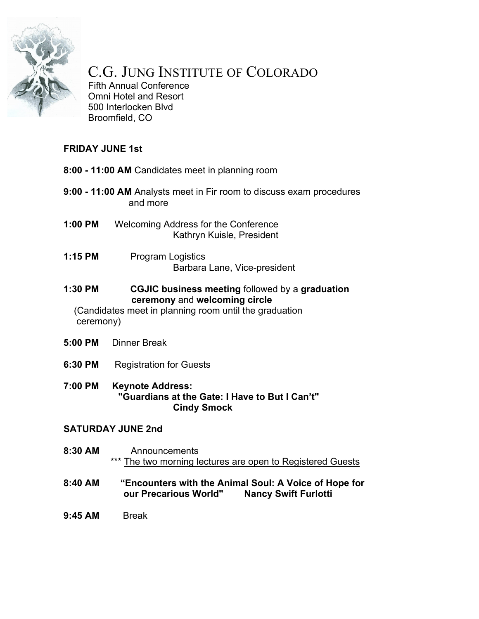

# C.G. JUNG INSTITUTE OF COLORADO

Fifth Annual Conference Omni Hotel and Resort 500 Interlocken Blvd Broomfield, CO

# **FRIDAY JUNE 1st**

- **8:00 - 11:00 AM** Candidates meet in planning room
- **9:00 - 11:00 AM** Analysts meet in Fir room to discuss exam procedures and more
- **1:00 PM** Welcoming Address for the Conference Kathryn Kuisle, President
- **1:15 PM** Program Logistics Barbara Lane, Vice-president
- **1:30 PM CGJIC business meeting** followed by a **graduation ceremony** and **welcoming circle**

(Candidates meet in planning room until the graduation ceremony)

- **5:00 PM** Dinner Break
- **6:30 PM** Registration for Guests
- **7:00 PM Keynote Address: "Guardians at the Gate: I Have to But I Can't" Cindy Smock**

#### **SATURDAY JUNE 2nd**

- **8:30 AM** Announcements \*\*\* The two morning lectures are open to Registered Guests
- **8:40 AM "Encounters with the Animal Soul: A Voice of Hope for our Precarious World" Nancy Swift Furlotti**
- **9:45 AM** Break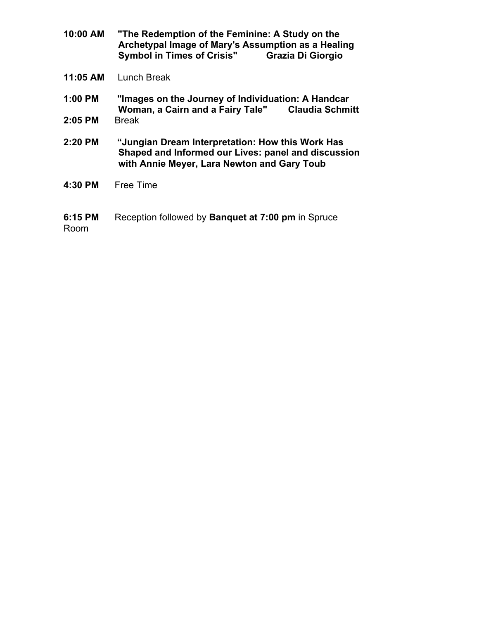- **10:00 AM "The Redemption of the Feminine: A Study on the Archetypal Image of Mary's Assumption as a Healing Symbol in Times of Crisis"**
- **11:05 AM** Lunch Break
- **1:00 PM "Images on the Journey of Individuation: A Handcar Woman, a Cairn and a Fairy Tale"**
- **2:05 PM** Break
- **2:20 PM "Jungian Dream Interpretation: How this Work Has Shaped and Informed our Lives: panel and discussion with Annie Meyer, Lara Newton and Gary Toub**
- **4:30 PM** Free Time
- **6:15 PM** Reception followed by **Banquet at 7:00 pm** in Spruce Room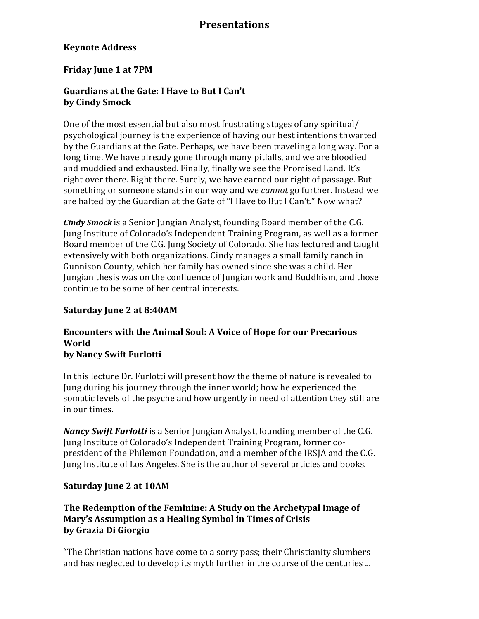#### **Keynote Address**

#### **Friday June 1 at 7PM**

#### Guardians at the Gate: I Have to But I Can't **by Cindy Smock**

One of the most essential but also most frustrating stages of any spiritual/ psychological journey is the experience of having our best intentions thwarted by the Guardians at the Gate. Perhaps, we have been traveling a long way. For a long time. We have already gone through many pitfalls, and we are bloodied and muddied and exhausted. Finally, finally we see the Promised Land. It's right over there. Right there. Surely, we have earned our right of passage. But something or someone stands in our way and we *cannot* go further. Instead we are halted by the Guardian at the Gate of "I Have to But I Can't." Now what?

*Cindy Smock* is a Senior Jungian Analyst, founding Board member of the C.G. Jung Institute of Colorado's Independent Training Program, as well as a former Board member of the C.G. Jung Society of Colorado. She has lectured and taught extensively with both organizations. Cindy manages a small family ranch in Gunnison County, which her family has owned since she was a child. Her Jungian thesis was on the confluence of Jungian work and Buddhism, and those continue to be some of her central interests.

#### **Saturday June 2 at 8:40AM**

# **Encounters with the Animal Soul: A Voice of Hope for our Precarious World**

#### **by Nancy Swift Furlotti**

In this lecture Dr. Furlotti will present how the theme of nature is revealed to Jung during his journey through the inner world; how he experienced the somatic levels of the psyche and how urgently in need of attention they still are in our times.

*Nancy Swift Furlotti* is a Senior Jungian Analyst, founding member of the C.G. Jung Institute of Colorado's Independent Training Program, former copresident of the Philemon Foundation, and a member of the IRSIA and the C.G. Jung Institute of Los Angeles. She is the author of several articles and books.

#### **Saturday June 2 at 10AM**

#### The Redemption of the Feminine: A Study on the Archetypal Image of **Mary's Assumption as a Healing Symbol in Times of Crisis by Grazia Di Giorgio**

"The Christian nations have come to a sorry pass; their Christianity slumbers and has neglected to develop its myth further in the course of the centuries ...